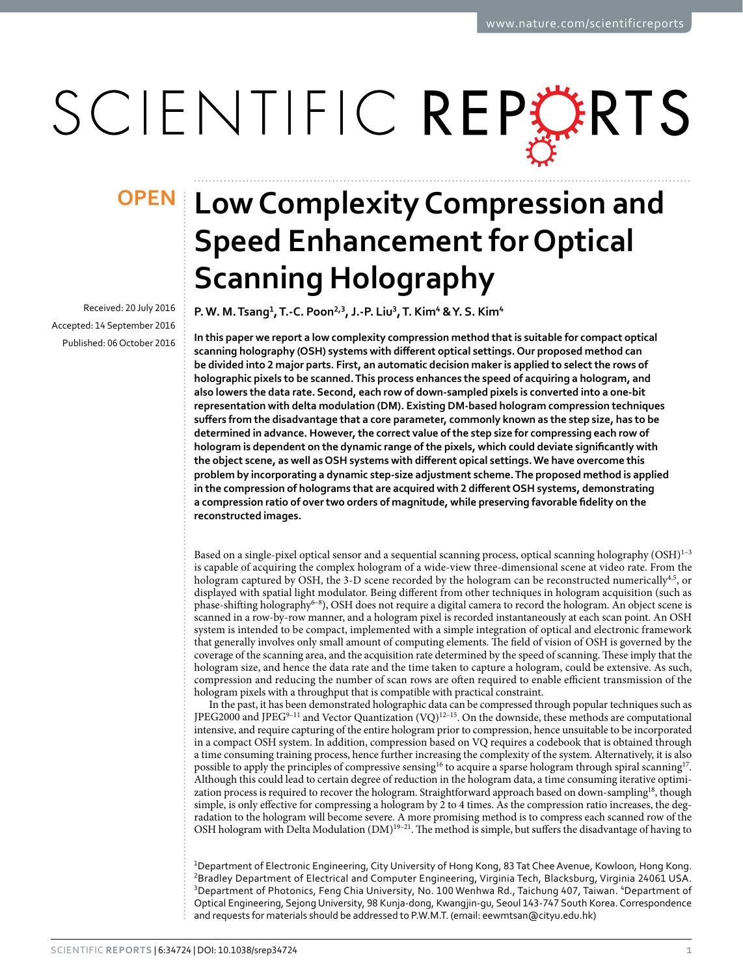# SCIENTIFIC REPERTS

Received: 20 July 2016 accepted: 14 September 2016 Published: 06 October 2016

# **Low Complexity Compression and OPENSpeed Enhancement for Optical Scanning Holography**

**P.W. M.Tsang<sup>1</sup>, T.-C. Poon<sup>2</sup>,<sup>3</sup>, J.-P. Liu<sup>3</sup>, T. Kim<sup>4</sup> & Y. S. Kim<sup>4</sup>**

**In this paper we report a low complexity compression method that is suitable for compact optical scanning holography (OSH) systems with different optical settings. Our proposed method can be divided into 2 major parts. First, an automatic decision maker is applied to select the rows of holographic pixels to be scanned. This process enhances the speed of acquiring a hologram, and also lowers the data rate. Second, each row of down-sampled pixels is converted into a one-bit representation with delta modulation (DM). Existing DM-based hologram compression techniques suffers from the disadvantage that a core parameter, commonly known as the step size, has to be determined in advance. However, the correct value of the step size for compressing each row of hologram is dependent on the dynamic range of the pixels, which could deviate significantly with the object scene, as well as OSH systems with different opical settings. We have overcome this problem by incorporating a dynamic step-size adjustment scheme. The proposed method is applied in the compression of holograms that are acquired with 2 different OSH systems, demonstrating a compression ratio of over two orders of magnitude, while preserving favorable fidelity on the reconstructed images.**

Based on a single-pixel optical sensor and a sequential scanning process, optical scanning holography (OSH)<sup>1-3</sup> is capable of acquiring the complex hologram of a wide-view three-dimensional scene at video rate. From the hologram captured by OSH, the 3-D scene recorded by the hologram can be reconstructed numerically<sup>4,[5](#page-6-2)</sup>, or displayed with spatial light modulator. Being different from other techniques in hologram acquisition (such as phase-shifting holography<sup>6–8</sup>), OSH does not require a digital camera to record the hologram. An object scene is scanned in a row-by-row manner, and a hologram pixel is recorded instantaneously at each scan point. An OSH system is intended to be compact, implemented with a simple integration of optical and electronic framework that generally involves only small amount of computing elements. The field of vision of OSH is governed by the coverage of the scanning area, and the acquisition rate determined by the speed of scanning. These imply that the hologram size, and hence the data rate and the time taken to capture a hologram, could be extensive. As such, compression and reducing the number of scan rows are often required to enable efficient transmission of the hologram pixels with a throughput that is compatible with practical constraint.

In the past, it has been demonstrated holographic data can be compressed through popular techniques such as JPEG2000 and JPEG<sup>9–11</sup> and Vector Quantization  $(VQ)^{12-15}$ . On the downside, these methods are computational intensive, and require capturing of the entire hologram prior to compression, hence unsuitable to be incorporated in a compact OSH system. In addition, compression based on VQ requires a codebook that is obtained through a time consuming training process, hence further increasing the complexity of the system. Alternatively, it is also possible to apply the principles of compressive sensing<sup>16</sup> to acquire a sparse hologram through spiral scanning<sup>17</sup>. Although this could lead to certain degree of reduction in the hologram data, a time consuming iterative optimization process is required to recover the hologram. Straightforward approach based on down-sampling<sup>18</sup>, though simple, is only effective for compressing a hologram by 2 to 4 times. As the compression ratio increases, the degradation to the hologram will become severe. A more promising method is to compress each scanned row of the OSH hologram with Delta Modulation (DM)<sup>19–21</sup>. The method is simple, but suffers the disadvantage of having to

1 Department of Electronic Engineering, City University of Hong Kong, 83 Tat Chee Avenue, Kowloon, Hong Kong. <sup>2</sup>Bradley Department of Electrical and Computer Engineering, Virginia Tech, Blacksburg, Virginia 24061 USA. <sup>3</sup>Department of Photonics, Feng Chia University, No. 100 Wenhwa Rd., Taichung 407, Taiwan. <sup>4</sup>Department of Optical Engineering, Sejong University, 98 Kunja-dong, Kwangjin-gu, Seoul 143-747 South Korea. Correspondence and requests for materials should be addressed to P.W.M.T. (email: [eewmtsan@cityu.edu.hk](mailto:eewmtsan@cityu.edu.hk))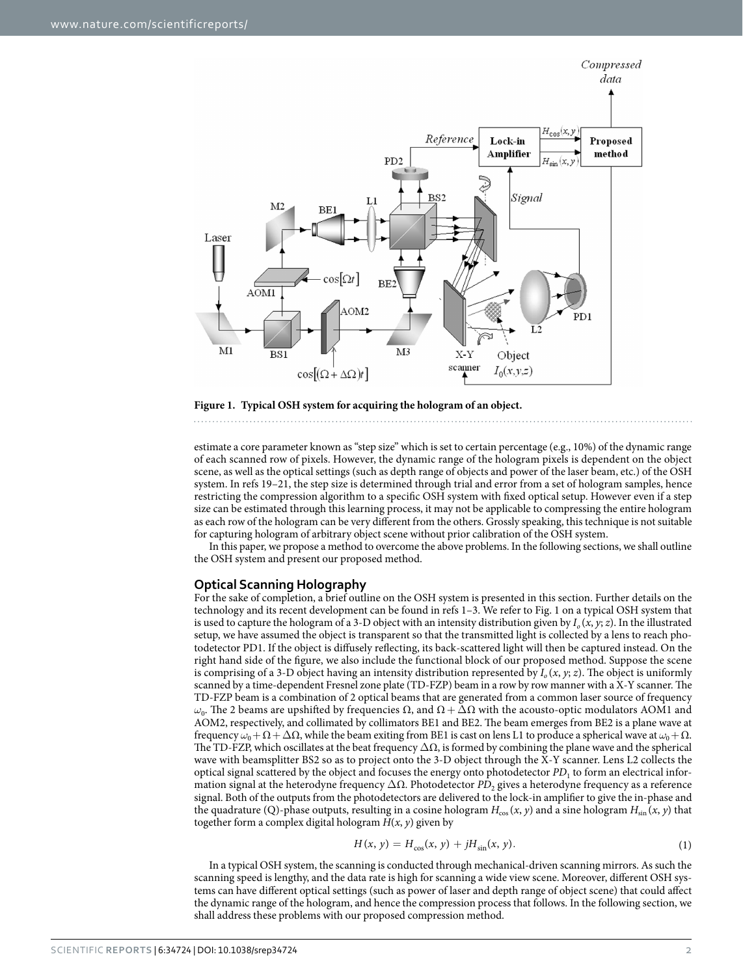

<span id="page-1-0"></span>

estimate a core parameter known as "step size" which is set to certain percentage (e.g., 10%) of the dynamic range of each scanned row of pixels. However, the dynamic range of the hologram pixels is dependent on the object scene, as well as the optical settings (such as depth range of objects and power of the laser beam, etc.) of the OSH system. In [refs 19–21](#page-6-9), the step size is determined through trial and error from a set of hologram samples, hence restricting the compression algorithm to a specific OSH system with fixed optical setup. However even if a step size can be estimated through this learning process, it may not be applicable to compressing the entire hologram as each row of the hologram can be very different from the others. Grossly speaking, this technique is not suitable for capturing hologram of arbitrary object scene without prior calibration of the OSH system.

In this paper, we propose a method to overcome the above problems. In the following sections, we shall outline the OSH system and present our proposed method.

### **Optical Scanning Holography**

For the sake of completion, a brief outline on the OSH system is presented in this section. Further details on the technology and its recent development can be found in [refs 1–3](#page-6-0). We refer to [Fig. 1](#page-1-0) on a typical OSH system that is used to capture the hologram of a 3-D object with an intensity distribution given by  $I_0(x, y; z)$ . In the illustrated setup, we have assumed the object is transparent so that the transmitted light is collected by a lens to reach photodetector PD1. If the object is diffusely reflecting, its back-scattered light will then be captured instead. On the right hand side of the figure, we also include the functional block of our proposed method. Suppose the scene is comprising of a 3-D object having an intensity distribution represented by  $I_0(x, y; z)$ . The object is uniformly scanned by a time-dependent Fresnel zone plate (TD-FZP) beam in a row by row manner with a X-Y scanner. The TD-FZP beam is a combination of 2 optical beams that are generated from a common laser source of frequency *ω*<sub>0</sub>. The 2 beams are upshifted by frequencies  $\Omega$ , and  $\Omega + \overline{\Delta} \Omega$  with the acousto-optic modulators AOM1 and AOM2, respectively, and collimated by collimators BE1 and BE2. The beam emerges from BE2 is a plane wave at frequency  $ω_0 + Ω + ΔΩ$ , while the beam exiting from BE1 is cast on lens L1 to produce a spherical wave at  $ω_0 + Ω$ . The TD-FZP, which oscillates at the beat frequency  $\Delta\Omega$ , is formed by combining the plane wave and the spherical wave with beamsplitter BS2 so as to project onto the 3-D object through the X-Y scanner. Lens L2 collects the optical signal scattered by the object and focuses the energy onto photodetector *PD*1 to form an electrical information signal at the heterodyne frequency ΔΩ. Photodetector *PD*<sub>2</sub> gives a heterodyne frequency as a reference signal. Both of the outputs from the photodetectors are delivered to the lock-in amplifier to give the in-phase and the quadrature (Q)-phase outputs, resulting in a cosine hologram  $H_{\cos}(x, y)$  and a sine hologram  $H_{\sin}(x, y)$  that together form a complex digital hologram  $H(x, y)$  given by

$$
H(x, y) = H_{\cos}(x, y) + jH_{\sin}(x, y).
$$
 (1)

In a typical OSH system, the scanning is conducted through mechanical-driven scanning mirrors. As such the scanning speed is lengthy, and the data rate is high for scanning a wide view scene. Moreover, different OSH systems can have different optical settings (such as power of laser and depth range of object scene) that could affect the dynamic range of the hologram, and hence the compression process that follows. In the following section, we shall address these problems with our proposed compression method.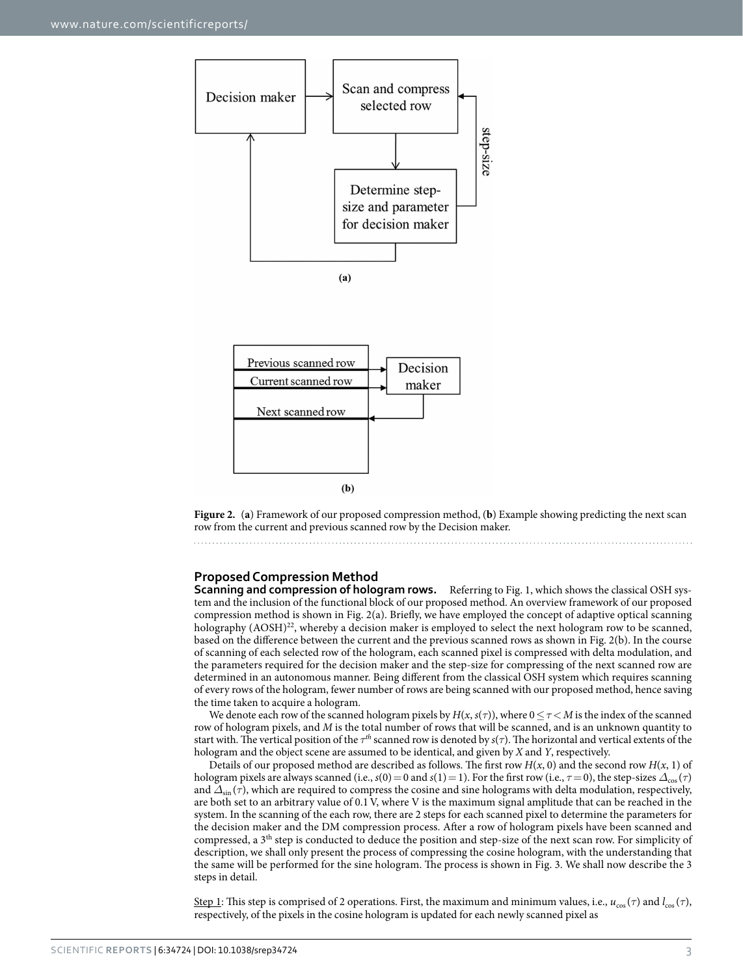



<span id="page-2-0"></span>**Figure 2.** (**a**) Framework of our proposed compression method, (**b**) Example showing predicting the next scan row from the current and previous scanned row by the Decision maker.

## **Proposed Compression Method**

**Scanning and compression of hologram rows.** Referring to [Fig. 1](#page-1-0), which shows the classical OSH system and the inclusion of the functional block of our proposed method. An overview framework of our proposed compression method is shown in [Fig. 2\(a\)](#page-2-0). Briefly, we have employed the concept of adaptive optical scanning holography  $(AOSH)^{22}$ , whereby a decision maker is employed to select the next hologram row to be scanned, based on the difference between the current and the previous scanned rows as shown in [Fig. 2\(b\).](#page-2-0) In the course of scanning of each selected row of the hologram, each scanned pixel is compressed with delta modulation, and the parameters required for the decision maker and the step-size for compressing of the next scanned row are determined in an autonomous manner. Being different from the classical OSH system which requires scanning of every rows of the hologram, fewer number of rows are being scanned with our proposed method, hence saving the time taken to acquire a hologram.

We denote each row of the scanned hologram pixels by  $H(x, s(\tau))$ , where  $0 \leq \tau \leq M$  is the index of the scanned row of hologram pixels, and *M* is the total number of rows that will be scanned, and is an unknown quantity to start with. The vertical position of the *τth* scanned row is denoted by *s*(*τ*). The horizontal and vertical extents of the hologram and the object scene are assumed to be identical, and given by *X* and *Y*, respectively.

Details of our proposed method are described as follows. The first row  $H(x, 0)$  and the second row  $H(x, 1)$  of hologram pixels are always scanned (i.e.,  $s(0) = 0$  and  $s(1) = 1$ ). For the first row (i.e.,  $\tau = 0$ ), the step-sizes  $\Delta_{\text{cos}}(\tau)$ and  $\Delta_{\sin}(\tau)$ , which are required to compress the cosine and sine holograms with delta modulation, respectively, are both set to an arbitrary value of 0.1 V, where V is the maximum signal amplitude that can be reached in the system. In the scanning of the each row, there are 2 steps for each scanned pixel to determine the parameters for the decision maker and the DM compression process. After a row of hologram pixels have been scanned and compressed, a 3th step is conducted to deduce the position and step-size of the next scan row. For simplicity of description, we shall only present the process of compressing the cosine hologram, with the understanding that the same will be performed for the sine hologram. The process is shown in [Fig. 3](#page-3-0). We shall now describe the 3 steps in detail.

Step 1: This step is comprised of 2 operations. First, the maximum and minimum values, i.e., *u*cos (*τ*) and *l*cos (*τ*), respectively, of the pixels in the cosine hologram is updated for each newly scanned pixel as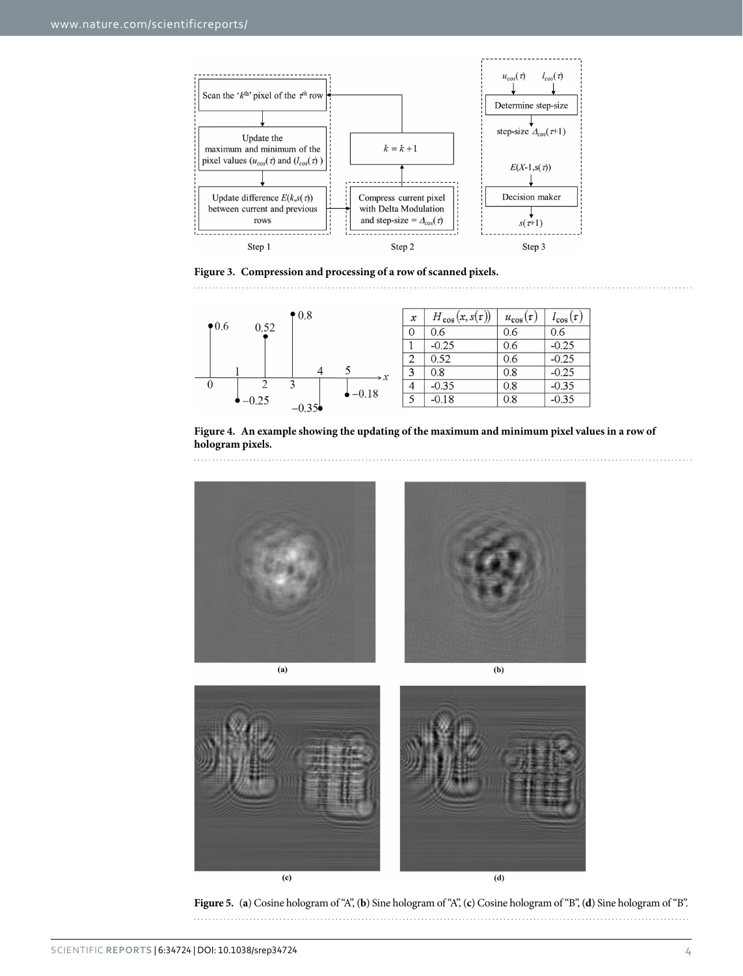

<span id="page-3-0"></span>**Figure 3. Compression and processing of a row of scanned pixels.**  



<span id="page-3-1"></span>**Figure 4. An example showing the updating of the maximum and minimum pixel values in a row of hologram pixels.** 



<span id="page-3-2"></span>**Figure 5.** (**a**) Cosine hologram of "A", (**b**) Sine hologram of "A", (**c**) Cosine hologram of "B", (**d**) Sine hologram of "B".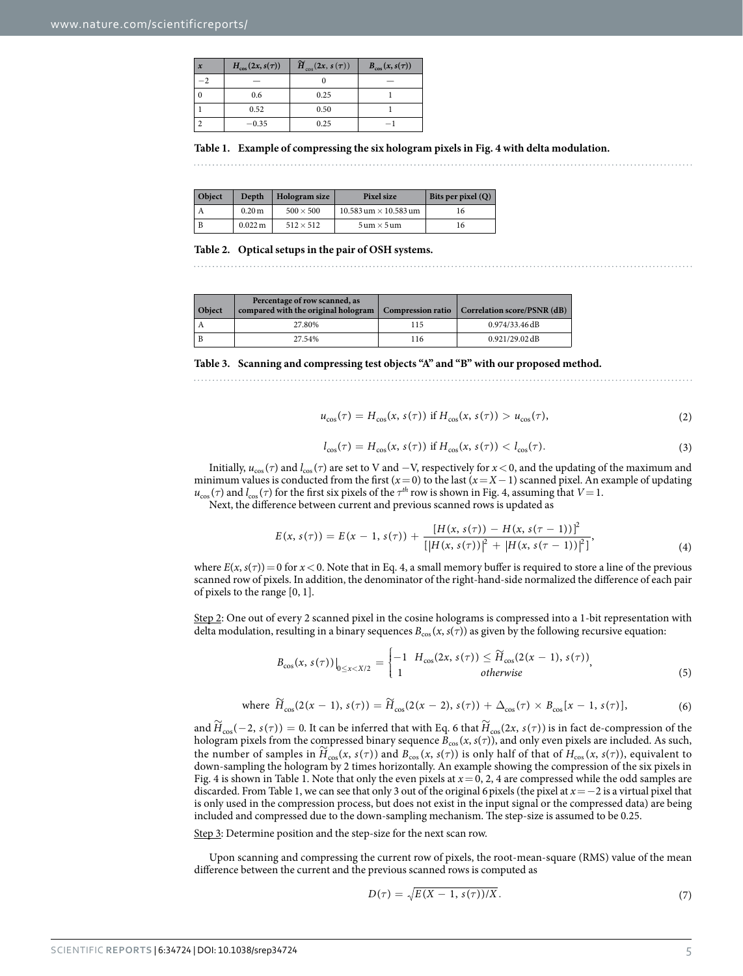<span id="page-4-0"></span>

| $H_{\cos}(2x, s(\tau))$ | $\widetilde{H}_{\cos}(2x, s(\tau))$ | $B_{\cos}(x, s(\tau))$ |
|-------------------------|-------------------------------------|------------------------|
|                         |                                     |                        |
| 0.6                     | 0.25                                |                        |
| 0.52                    | 0.50                                |                        |
| $-0.35$                 | 0.25                                |                        |

**Table 1. Example of compressing the six hologram pixels in [Fig. 4](#page-3-1) with delta modulation.**

<span id="page-4-1"></span>

| Object | Depth                | Hologram size    | Pixel size                         | Bits per pixel $(Q)$ |
|--------|----------------------|------------------|------------------------------------|----------------------|
|        | 0.20 <sub>m</sub>    | $500 \times 500$ | $10.583$ um $\times$ 10.583 um     | 16                   |
| B      | $0.022 \,\mathrm{m}$ | $512 \times 512$ | $5 \text{ um} \times 5 \text{ um}$ | 16                   |

**Table 2. Optical setups in the pair of OSH systems.**

<span id="page-4-2"></span>

| Object | Percentage of row scanned, as<br>compared with the original hologram |     | Compression ratio $\vert$ Correlation score/PSNR (dB) |
|--------|----------------------------------------------------------------------|-----|-------------------------------------------------------|
|        | 27.80%                                                               | 115 | 0.974/33.46 dB                                        |
|        | 27.54%                                                               | 116 | $0.921/29.02$ dB                                      |

**Table 3. Scanning and compressing test objects "A" and "B" with our proposed method.**

$$
u_{\cos}(\tau) = H_{\cos}(x, s(\tau)) \text{ if } H_{\cos}(x, s(\tau)) > u_{\cos}(\tau), \tag{2}
$$

$$
l_{\cos}(\tau) = H_{\cos}(x, s(\tau)) \text{ if } H_{\cos}(x, s(\tau)) < l_{\cos}(\tau). \tag{3}
$$

Initially,  $u_{\text{cos}}(\tau)$  and  $l_{\text{cos}}(\tau)$  are set to V and  $-V$ , respectively for  $x < 0$ , and the updating of the maximum and minimum values is conducted from the first  $(x=0)$  to the last  $(x=X-1)$  scanned pixel. An example of updating  $u_{\cos}(\tau)$  and  $l_{\cos}(\tau)$  for the first six pixels of the  $\tau^{th}$  row is shown in [Fig. 4](#page-3-1), assuming that  $V=1$ .

Next, the difference between current and previous scanned rows is updated as

$$
E(x, s(\tau)) = E(x - 1, s(\tau)) + \frac{[H(x, s(\tau)) - H(x, s(\tau - 1))]^{2}}{[[H(x, s(\tau))]^{2} + [H(x, s(\tau - 1))]^{2}]}, \qquad (4)
$$

where  $E(x, s(\tau)) = 0$  for  $x < 0$ . Note that in Eq. 4, a small memory buffer is required to store a line of the previous scanned row of pixels. In addition, the denominator of the right-hand-side normalized the difference of each pair of pixels to the range [0, 1].

Step 2: One out of every 2 scanned pixel in the cosine holograms is compressed into a 1-bit representation with delta modulation, resulting in a binary sequences  $B_{\cos}(x, s(\tau))$  as given by the following recursive equation:

$$
B_{\cos}(x, s(\tau))\big|_{0\leq x< X/2} = \begin{cases} -1 & H_{\cos}(2x, s(\tau)) \leq \widetilde{H}_{\cos}(2(x-1), s(\tau)) \\ 1 & \text{otherwise} \end{cases} \tag{5}
$$

where 
$$
\widetilde{H}_{\cos}(2(x-1), s(\tau)) = \widetilde{H}_{\cos}(2(x-2), s(\tau)) + \Delta_{\cos}(\tau) \times B_{\cos}[x-1, s(\tau)],
$$
 (6)

and  $\widetilde{H}_{\cos}(-2, s(\tau)) = 0$ . It can be inferred that with Eq. 6 that  $\widetilde{H}_{\cos}(2x, s(\tau))$  is in fact de-compression of the hologram pixels from the compressed binary sequence  $B_{\cos}(x, s(\tau))$ , and only even pixels are included. As such,<br>the number of samples in  $\widetilde{H}_{\cos}(x, s(\tau))$  and  $B_{\cos}(x, s(\tau))$  is only half of that of  $H_{\cos}(x, s(\tau))$ , equivalen down-sampling the hologram by 2 times horizontally. An example showing the compression of the six pixels in [Fig. 4](#page-3-1) is shown in [Table 1.](#page-4-0) Note that only the even pixels at *x*= 0, 2, 4 are compressed while the odd samples are discarded. From [Table 1](#page-4-0), we can see that only 3 out of the original 6pixels (the pixel at *x*= −2 is a virtual pixel that is only used in the compression process, but does not exist in the input signal or the compressed data) are being included and compressed due to the down-sampling mechanism. The step-size is assumed to be 0.25.

Step 3: Determine position and the step-size for the next scan row.

Upon scanning and compressing the current row of pixels, the root-mean-square (RMS) value of the mean difference between the current and the previous scanned rows is computed as

$$
D(\tau) = \sqrt{E(X - 1, s(\tau))/X}.
$$
\n(7)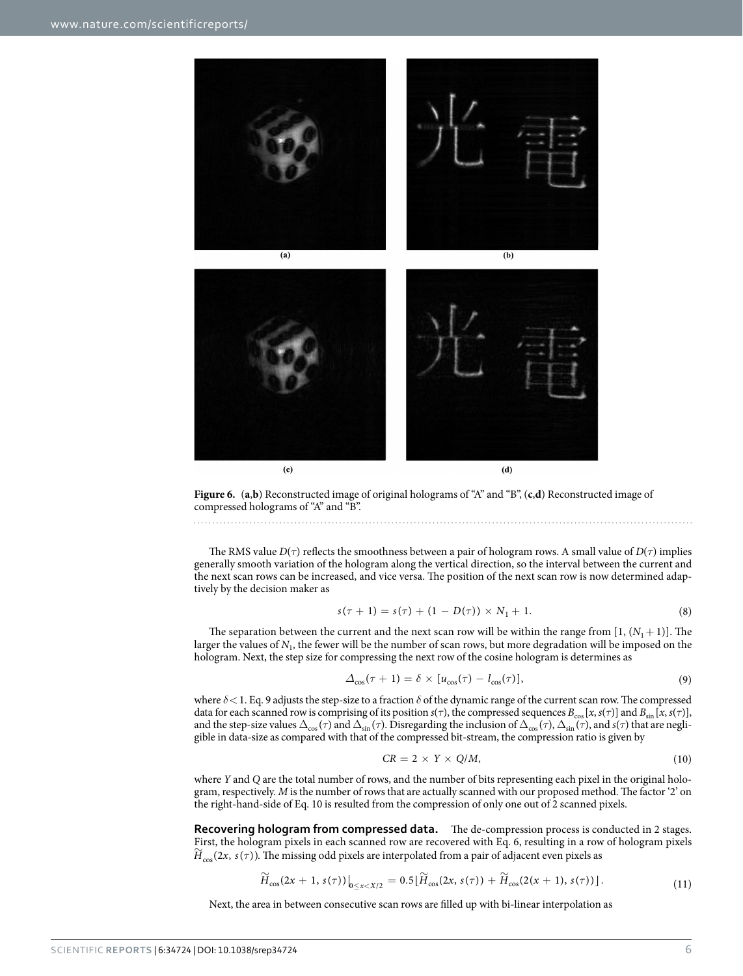

<span id="page-5-0"></span>

The RMS value  $D(\tau)$  reflects the smoothness between a pair of hologram rows. A small value of  $D(\tau)$  implies generally smooth variation of the hologram along the vertical direction, so the interval between the current and the next scan rows can be increased, and vice versa. The position of the next scan row is now determined adaptively by the decision maker as

$$
s(\tau + 1) = s(\tau) + (1 - D(\tau)) \times N_1 + 1. \tag{8}
$$

The separation between the current and the next scan row will be within the range from  $[1, (N<sub>1</sub> + 1)]$ . The larger the values of  $N_1$ , the fewer will be the number of scan rows, but more degradation will be imposed on the hologram. Next, the step size for compressing the next row of the cosine hologram is determines as

$$
\Delta_{\cos}(\tau + 1) = \delta \times [u_{\cos}(\tau) - l_{\cos}(\tau)],\tag{9}
$$

where *δ*< 1. Eq. 9 adjusts the step-size to a fraction *δ* of the dynamic range of the current scan row. The compressed data for each scanned row is comprising of its position  $s(\tau)$ , the compressed sequences  $B_{\cos}[x, s(\tau)]$  and  $B_{\sin}[x, s(\tau)]$ , and the step-size values  $\Delta_{\cos}(\tau)$  and  $\Delta_{\sin}(\tau)$ . Disregarding the inclusion of  $\Delta_{\cos}(\tau)$ ,  $\Delta_{\sin}(\tau)$ , and  $s(\tau)$  that are negligible in data-size as compared with that of the compressed bit-stream, the compression ratio is given by

$$
CR = 2 \times Y \times Q/M, \tag{10}
$$

where *Y* and *Q* are the total number of rows, and the number of bits representing each pixel in the original hologram, respectively. *M* is the number of rows that are actually scanned with our proposed method. The factor '2' on the right-hand-side of Eq. 10 is resulted from the compression of only one out of 2 scanned pixels.

**Recovering hologram from compressed data.** The de-compression process is conducted in 2 stages. First, the hologram pixels in each scanned row are recovered with Eq. 6, resulting in a row of hologram pixels *H*  $_{cos}(2x, s(\tau))$ . The missing odd pixels are interpolated from a pair of adjacent even pixels as

$$
\widetilde{H}_{\cos}(2x+1,s(\tau))\big|_{0\leq x
$$

Next, the area in between consecutive scan rows are filled up with bi-linear interpolation as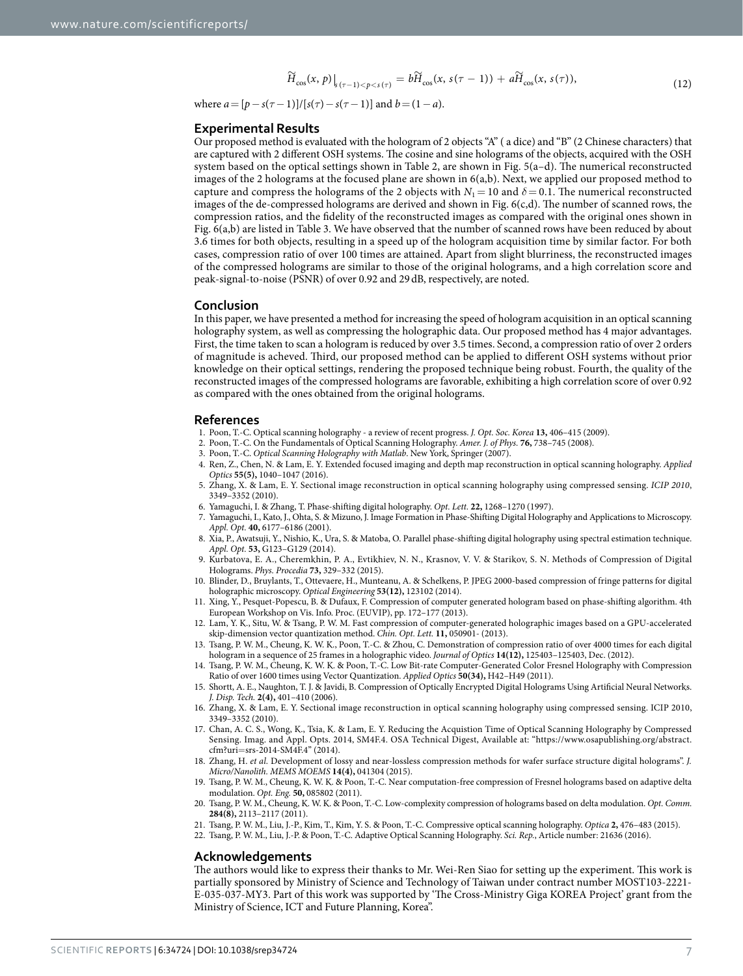$$
\widetilde{H}_{\cos}(x,\,p)\big|_{s\,(\tau-1)<\,p
$$

where  $a = [p - s(\tau - 1)]/[s(\tau) - s(\tau - 1)]$  and  $b = (1 - a)$ .

### **Experimental Results**

Our proposed method is evaluated with the hologram of 2 objects "A" ( a dice) and "B" (2 Chinese characters) that are captured with 2 different OSH systems. The cosine and sine holograms of the objects, acquired with the OSH system based on the optical settings shown in [Table 2,](#page-4-1) are shown in [Fig. 5\(a–d\)](#page-3-2). The numerical reconstructed images of the 2 holograms at the focused plane are shown in 6(a,b). Next, we applied our proposed method to capture and compress the holograms of the 2 objects with  $N_1 = 10$  and  $\delta = 0.1$ . The numerical reconstructed images of the de-compressed holograms are derived and shown in [Fig. 6\(c,d\)](#page-5-0). The number of scanned rows, the compression ratios, and the fidelity of the reconstructed images as compared with the original ones shown in [Fig. 6\(a,b\)](#page-5-0) are listed in [Table 3.](#page-4-2) We have observed that the number of scanned rows have been reduced by about 3.6 times for both objects, resulting in a speed up of the hologram acquisition time by similar factor. For both cases, compression ratio of over 100 times are attained. Apart from slight blurriness, the reconstructed images of the compressed holograms are similar to those of the original holograms, and a high correlation score and peak-signal-to-noise (PSNR) of over 0.92 and 29dB, respectively, are noted.

### **Conclusion**

In this paper, we have presented a method for increasing the speed of hologram acquisition in an optical scanning holography system, as well as compressing the holographic data. Our proposed method has 4 major advantages. First, the time taken to scan a hologram is reduced by over 3.5 times. Second, a compression ratio of over 2 orders of magnitude is acheved. Third, our proposed method can be applied to different OSH systems without prior knowledge on their optical settings, rendering the proposed technique being robust. Fourth, the quality of the reconstructed images of the compressed holograms are favorable, exhibiting a high correlation score of over 0.92 as compared with the ones obtained from the original holograms.

### **References**

- <span id="page-6-0"></span>1. Poon, T.-C. Optical scanning holography - a review of recent progress. *J. Opt. Soc. Korea* **13,** 406–415 (2009).
- 2. Poon, T.-C. On the Fundamentals of Optical Scanning Holography. *Amer. J. of Phys.* **76,** 738–745 (2008).
- 3. Poon, T.-C. *Optical Scanning Holography with Matlab*. New York, Springer (2007).
- <span id="page-6-1"></span>4. Ren, Z., Chen, N. & Lam, E. Y. Extended focused imaging and depth map reconstruction in optical scanning holography. *Applied Optics* **55(5),** 1040–1047 (2016).
- <span id="page-6-2"></span>5. Zhang, X. & Lam, E. Y. Sectional image reconstruction in optical scanning holography using compressed sensing. *ICIP 2010*, 3349–3352 (2010).
- <span id="page-6-3"></span>6. Yamaguchi, I. & Zhang, T. Phase-shifting digital holography. *Opt. Lett.* **22,** 1268–1270 (1997).
- 7. Yamaguchi, I., Kato, J., Ohta, S. & Mizuno, J. Image Formation in Phase-Shifting Digital Holography and Applications to Microscopy. *Appl. Opt.* **40,** 6177–6186 (2001).
- 8. Xia, P., Awatsuji, Y., Nishio, K., Ura, S. & Matoba, O. Parallel phase-shifting digital holography using spectral estimation technique. *Appl. Opt.* **53,** G123–G129 (2014).
- <span id="page-6-4"></span>9. Kurbatova, E. A., Cheremkhin, P. A., Evtikhiev, N. N., Krasnov, V. V. & Starikov, S. N. Methods of Compression of Digital Holograms. *Phys. Procedia* **73,** 329–332 (2015).
- 10. Blinder, D., Bruylants, T., Ottevaere, H., Munteanu, A. & Schelkens, P. JPEG 2000-based compression of fringe patterns for digital holographic microscopy. *Optical Engineering* **53(12),** 123102 (2014).
- 11. Xing, Y., Pesquet-Popescu, B. & Dufaux, F. Compression of computer generated hologram based on phase-shifting algorithm. 4th European Workshop on Vis. Info. Proc. (EUVIP), pp. 172–177 (2013).
- <span id="page-6-5"></span>12. Lam, Y. K., Situ, W. & Tsang, P. W. M. Fast compression of computer-generated holographic images based on a GPU-accelerated skip-dimension vector quantization method. *Chin. Opt. Lett.* **11,** 050901- (2013).
- 13. Tsang, P. W. M., Cheung, K. W. K., Poon, T.-C. & Zhou, C. Demonstration of compression ratio of over 4000 times for each digital hologram in a sequence of 25 frames in a holographic video. *Journal of Optics* **14(12),** 125403–125403, Dec. (2012).
- 14. Tsang, P. W. M., Cheung, K. W. K. & Poon, T.-C. Low Bit-rate Computer-Generated Color Fresnel Holography with Compression Ratio of over 1600 times using Vector Quantization. *Applied Optics* **50(34),** H42–H49 (2011).
- 15. Shortt, A. E., Naughton, T. J. & Javidi, B. Compression of Optically Encrypted Digital Holograms Using Artificial Neural Networks. *J. Disp. Tech.* **2(4),** 401–410 (2006).
- <span id="page-6-6"></span>16. Zhang, X. & Lam, E. Y. Sectional image reconstruction in optical scanning holography using compressed sensing. ICIP 2010, 3349–3352 (2010).
- <span id="page-6-7"></span>17. Chan, A. C. S., Wong, K., Tsia, K. & Lam, E. Y. Reducing the Acquistion Time of Optical Scanning Holography by Compressed Sensing. Imag. and Appl. Opts. 2014, SM4F.4. OSA Technical Digest, Available at: "[https://www.osapublishing.org/abstract.](https://www.osapublishing.org/abstract.cfm?uri=srs-2014-SM4F.4) cfm?uri=[srs-2014-SM4F.4"](https://www.osapublishing.org/abstract.cfm?uri=srs-2014-SM4F.4) (2014).
- <span id="page-6-8"></span>18. Zhang, H. *et al.* Development of lossy and near-lossless compression methods for wafer surface structure digital holograms". *J. Micro/Nanolith. MEMS MOEMS* **14(4),** 041304 (2015).
- <span id="page-6-9"></span>19. Tsang, P. W. M., Cheung, K. W. K. & Poon, T.-C. Near computation-free compression of Fresnel holograms based on adaptive delta modulation. *Opt. Eng.* **50,** 085802 (2011).
- 20. Tsang, P. W. M., Cheung, K. W. K. & Poon, T.-C. Low-complexity compression of holograms based on delta modulation. *Opt. Comm.* **284(8),** 2113–2117 (2011).
- 21. Tsang, P. W. M., Liu, J.-P., Kim, T., Kim, Y. S. & Poon, T.-C. Compressive optical scanning holography. *Optica* **2,** 476–483 (2015).
- <span id="page-6-10"></span>22. Tsang, P. W. M., Liu, J.-P. & Poon, T.-C. Adaptive Optical Scanning Holography. *Sci. Rep.*, Article number: 21636 (2016).

### **Acknowledgements**

The authors would like to express their thanks to Mr. Wei-Ren Siao for setting up the experiment. This work is partially sponsored by Ministry of Science and Technology of Taiwan under contract number MOST103-2221- E-035-037-MY3. Part of this work was supported by 'The Cross-Ministry Giga KOREA Project' grant from the Ministry of Science, ICT and Future Planning, Korea".